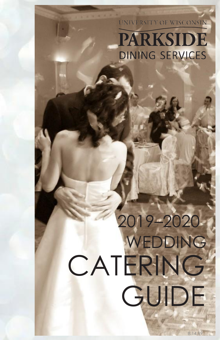## UNIVERSITY OF WISCONSIN **PARKSIDE DINING SERVICES**

# CATERING GUIDE WEDDING 2019–2020

8.14.19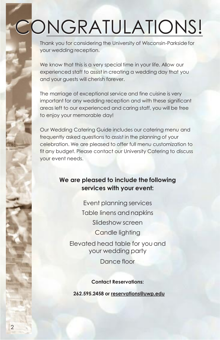# CONGRATULATIONS!

Thank you for considering the University of Wisconsin-Parkside for your wedding reception.

We know that this is a very special time in your life. Allow our experienced staff to assist in creating a wedding day that you and your guests will cherish forever.

The marriage of exceptional service and fine cuisine is very important for any wedding reception and with these significant areas left to our experienced and caring staff, you will be free to enjoy your memorable day!

Our Wedding Catering Guide includes our catering menu and frequently asked questions to assist in the planning of your celebration. We are pleased to offer full menu customization to fit any budget. Please contact our University Catering to discuss your event needs.

## **We are pleased to include the following services with your event:**

Event planning services Table linens andnapkins Slideshow screen Candle lighting Elevated head table for you and your wedding party Dance floor

**Contact Reservations:**

**262.595.2458 or reservation[s@uwp.edu](mailto:catering@uwp.edu)**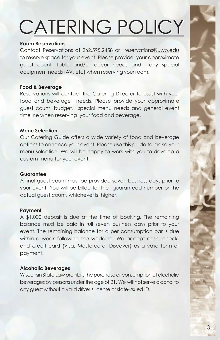# CATERING POLICY

#### **Room Reservations**

Contact Reservations at 262.595.2458 or reservations[@uwp.edu](mailto:catering@uwp.edu) to reserve space for your event. Please provide your approximate guest count, table and/or decor needs and any special equipment needs (AV, etc) when reserving your room.

#### **Food & Beverage**

Reservations will contact the Catering Director to assist with your food and beverage needs. Please provide your approximate guest count, budget, special menu needs and general event timeline when reserving your food and beverage.

#### **Menu Selection**

Our Catering Guide offers a wide variety of food and beverage options to enhance your event. Please use this guide to make your menu selection. We will be happy to work with you to develop a custom menu for your event.

#### **Guarantee**

A final guest count must be provided seven business days prior to your event. You will be billed for the guaranteed number or the actual guest count, whichever is higher.

#### **Payment**

A \$1,000 deposit is due at the time of booking. The remaining balance must be paid in full seven business days prior to your event. The remaining balance for a per consumption bar is due within a week following the wedding. We accept cash, check, and credit card (Visa, Mastercard, Discover) as a valid form of payment.

#### **Alcoholic Beverages**

Wisconsin State Law prohibits the purchase or consumption of alcoholic beverages by persons under the age of 21. We will not serve alcohol to any guest without a valid driver's license or state-issued ID.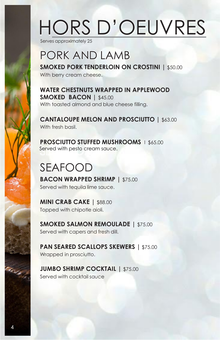# HORS D'OEUVRES

Serves approximately 25

## PORK AND LAMB

**SMOKED PORK TENDERLOIN ON CROSTINI |** \$50.00 With berry cream cheese.

**WATER CHESTNUTS WRAPPED IN APPLEWOOD SMOKED BACON |** \$45.00 With toasted almond and blue cheese filling.

**CANTALOUPE MELON AND PROSCIUTTO |** \$63.00 With fresh basil.

**PROSCIUTTO STUFFED MUSHROOMS** l \$65.00 Served with pesto cream sauce.

## SEAFOOD

**BACON WRAPPED SHRIMP |** \$75.00 Served with tequila lime sauce.

**MINI CRAB CAKE | \$88.00** Topped with chipotle aioli.

**SMOKED SALMON REMOULADE |** \$75.00 Served with capers and fresh dill.

**PAN SEARED SCALLOPS SKEWERS |** \$75.00 Wrapped in prosciutto.

**JUMBO SHRIMP COCKTAIL |** \$75.00 Served with cocktail sauce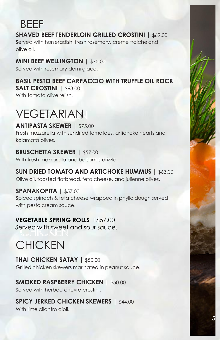## **BFFF**

## **SHAVED BEEF TENDERLOIN GRILLED CROSTINI | \$69.00**

Served with horseradish, fresh rosemary, creme fraiche and olive oil.

## **MINI BEEF WELLINGTON |** \$75.00

Served with rosemary demi glace.

## **BASIL PESTO BEEF CARPACCIO WITH TRUFFLE OIL ROCK**

**SALT CROSTINI |** \$63.00 With tomato olive relish.

## VEGETARIAN

**ANTIPASTA SKEWER |** \$75.00 Fresh mozzarella with sundried tomatoes, artichoke hearts and kalamata olives.

## **BRUSCHETTA SKEWER |** \$57.00

With fresh mozzarella and balsamic drizzle.

**SUN DRIED TOMATO AND ARTICHOKE HUMMUS |** \$63.00 Olive oil, toasted flatbread, feta cheese, and julienne olives.

## **SPANAKOPITA |** \$57.00

Spiced spinach & feta cheese wrapped in phyllo dough served with pesto cream sauce.

## **VEGETABLE SPRING ROLLS** l \$57.00

Served with sweet and sour sauce.

## **CHICKEN**

## **THAI CHICKEN SATAY |** \$50.00

Grilled chicken skewers marinated in peanut sauce.

## **SMOKED RASPBERRY CHICKEN |** \$50.00

Served with herbed chevre crostini.

## **SPICY JERKED CHICKEN SKEWERS |** \$44.00

With lime cilantro aioli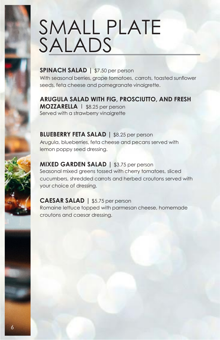# SMALL PLATE SALADS

## **SPINACH SALAD |** \$7.50 per person

With seasonal berries, grape tomatoes, carrots, toasted sunflower seeds, feta cheese and pomegranate vinaigrette.

**ARUGULA SALAD WITH FIG, PROSCIUTTO, AND FRESH MOZZARELLA** l \$8.25 per person

Served with a strawberry vinaigrette

**BLUEBERRY FETA SALAD |** \$8.25 per person Arugula, blueberries, feta cheese and pecans served with lemon poppy seed dressing.

**MIXED GARDEN SALAD |** \$3.75 per person Seasonal mixed greens tossed with cherry tomatoes, sliced cucumbers, shredded carrots and herbed croutons served with your choice of dressing.

### **CAESAR SALAD |** \$5.75 per person

Romaine lettuce topped with parmesan cheese, homemade croutons and caesar dressing.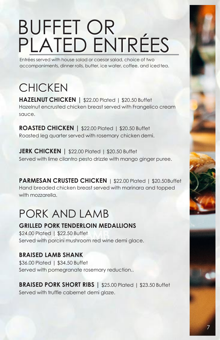# BUFFET OR PLATED ENTRÉES

Entrées served with house salad or caesar salad, choice of two accompaniments, dinner rolls, butter, ice water, coffee, and iced tea.

## **CHICKEN**

**HAZELNUT CHICKEN |** \$22.00 Plated | \$20.50 Buffet Hazelnut encrusted chicken breast served with Frangelico cream sauce.

**ROASTED CHICKEN |** \$22.00 Plated | \$20.50 Buffet Roasted leg quarter served with rosemary chicken demi.

**JERK CHICKEN** | \$22.00 Plated | \$20.50 Buffet Served with lime cilantro pesto drizzle with mango ginger puree.

**PARMESAN CRUSTED CHICKEN** | \$22.00 Plated | \$20.50Buffet Hand breaded chicken breast served with marinara and topped with mozzarella

## PORK AND LAMB

## **GRILLED PORK TENDERLOIN MEDALLIONS**

\$24.00 Plated | \$22.50 Buffet Served with porcini mushroom red wine demi glace.

## **BRAISED LAMB SHANK**

\$36.00 Plated | \$34.50 Buffet Served with pomegranate rosemary reduction..

**BRAISED PORK SHORT RIBS |** \$25.00 Plated | \$23.50 Buffet Served with truffle cabernet demi glaze.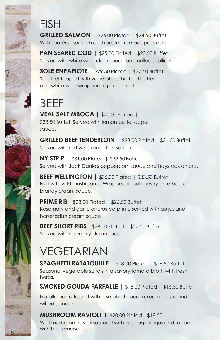## FISH

**GRILLED SALMON |** \$26.00 Plated | \$24.50 Buffet With sautéed spinach and roasted red peppercoulis.

**PAN SEARED COD** | \$25.00 Plated | \$23.50 Buffet Served with white wine clam sauce and grilled scallions.

**SOLE ENPAPIOTE |** \$29.50 Plated | \$27.50 Buffet Sole filet topped with vegetables, herbed butter and white wine wrapped in parchment.

## BEEF

**VEAL SALTIMBOCA |** \$40.00 Plated | \$38.50 Buffet Served with lemon butter caper sauce.

**GRILLED BEEF TENDERLOIN |** \$33.00 Plated | \$31.50 Buffet Served with red wine reduction sauce.

**NY STRIP |** \$31.00 Plated | \$29.50 Buffet Served with Jack Daniels peppercorn sauce and haystack onions.

**BEEF WELLINGTON | \$35.00 Plated | \$33.50 Buffet** Filet with wild mushrooms. Wrapped in puff pastry on a bed of brandy cream sauce.

**PRIME RIB |**\$28.00 Plated | \$26.50 Buffet Rosemary and garlic encrusted prime served with au jus and horseradish cream sauce.

**BEEF SHORT RIBS |**\$29.00 Plated | \$27.50 Buffet Served with rosemary demi glace.

## VEGETARIAN

8

**SPAGHETTI RATATOUILLE |** \$18.00 Plated | \$16.50 Buffet Seasonal vegetable spirals in a savory tomato broth with fresh herbs.

**SMOKED GOUDA FARFALLE |** \$18.00 Plated | \$16.50 Buffet

Frafalle pasta tossed with a smoked gouda cream sauce and wilted spinach.

**MUSHROOM RAVIOLI | \$20.00 Plated | \$18.50** Wild mushroom ravioli sautéed with fresh asparagus and topped with buerrenoisette.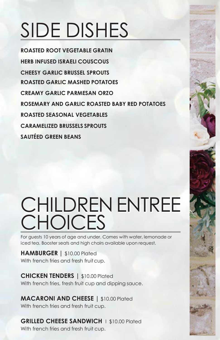# SIDE DISHES

**ROASTED ROOT VEGETABLE GRATIN HERB INFUSED ISRAELI COUSCOUS CHEESY GARLIC BRUSSEL SPROUTS ROASTED GARLIC MASHED POTATOES CREAMY GARLIC PARMESAN ORZO ROSEMARY AND GARLIC ROASTED BABY RED POTATOES ROASTED SEASONAL VEGETABLES CARAMELIZED BRUSSELS SPROUTS SAUTÉED GREEN BEANS**

## CHILDREN ENTREE CHOICES

For guests 10 years of age and under. Comes with water, lemonade or iced tea. Booster seats and high chairs available upon request.

**HAMBURGER |** \$10.00 Plated With french fries and fresh fruit cup.

**CHICKEN TENDERS |** \$10.00 Plated With french fries, fresh fruit cup and dipping sauce.

**MACARONI AND CHEESE |** \$10.00 Plated With french fries and fresh fruit cup.

**GRILLED CHEESE SANDWICH** l \$10.00 Plated With french fries and fresh fruit cup.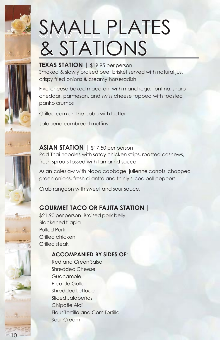# SMALL PLATES & STATIONS

**TEXAS STATION |** \$19.95 per person Smoked & slowly braised beef brisket served with natural jus, crispy fried onions & creamy horseradish

Five-cheese baked macaroni with manchego, fontina, sharp cheddar, parmesan, and swiss cheese topped with toasted panko crumbs

Grilled corn on the cobb with butter Jalapeño cornbread muffins

**ASIAN STATION | \$17.50 per person** Pad Thai noodles with satay chicken strips, roasted cashews, fresh sprouts tossed with tamarind sauce

Asian coleslaw with Napa cabbage, julienne carrots, chopped green onions, fresh cilantro and thinly sliced bell peppers

Crab rangoon with sweet and sour sauce.

## **GOURMET TACO OR FAJITA STATION |**

\$21.90 perperson Braised pork belly **Blackened tilapia** Pulled Pork Grilled chicken Grilled steak

### **ACCOMPANIED BY SIDES OF:**

Red and Green Salsa Shredded Cheese Guacamole Pico de Gallo Shredded Lettuce Sliced Jalapeños Chipotle Aioli Flour Tortilla and Corn Tortilla Sour Cream

10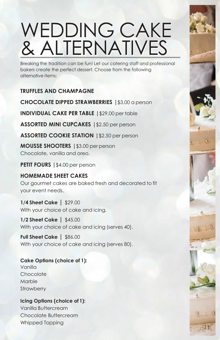# WEDDING CAKE & ALTERNATIVES

Breaking the tradition can be fun! Let our catering staff and professional bakers create the perfect dessert. Choose from the following alternative items:

## **TRUFFLES AND CHAMPAGNE**

**CHOCOLATE DIPPED STRAWBERRIES |**\$3.00 a person

**INDIVIDUAL CAKE PER TABLE |**\$29.00 per table

**ASSORTED MINI CUPCAKES |**\$2.50 per person

**ASSORTED COOKIE STATION |**\$2.50 per person

**MOUSSE SHOOTERS |**\$3.00 per person Chocolate, vanilla and oreo.

**PETIT FOURS |**\$4.00 per person

### **HOMEMADE SHEET CAKES**

Our gourmet cakes are baked fresh and decorated to fit your event needs.

11

#### **1/4 Sheet Cake |** \$29.00 With your choice of cake and icing.

**1/2 Sheet Cake |** \$45.00 With your choice of cake and icing (serves 40).

**Full Sheet Cake |** \$86.00 With your choice of cake and icing (serves 80).

**Cake Options (choice of 1):** Vanilla **Chocolate** Marble **Strawberry** 

## **Icing Options (choice of 1):**

Vanilla Buttercream Chocolate Buttercream Whipped Topping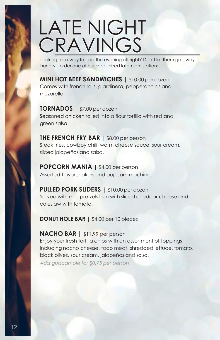# LATE NIGHT **CRAVINGS**

Looking for a way to cap the evening off right? Don't let them go away hungry—order one of our specialized late-night stations.

**MINI HOT BEEF SANDWICHES |** \$10.00 per dozen Comes with french rolls, giardinera, pepperoncinis and mozarella.

**TORNADOS |** \$7.00 per dozen Seasoned chicken rolled into a flour tortilla with red and green salsa.

**THE FRENCH FRY BAR |** \$8.00 per person Steak fries, cowboy chili, warm cheese sauce, sour cream, sliced jalapeños and salsa.

**POPCORN MANIA |** \$4.00 per person Assorted flavor shakers and popcorn machine.

**PULLED PORK SLIDERS |** \$10.00 per dozen Served with mini pretzels bun with sliced cheddar cheese and coleslaw with tomato.

**DONUT HOLE BAR |** \$4.00 per 10 pieces

**NACHO BAR |** \$11.99 per person

Enjoy your fresh tortilla chips with an assortment of toppings including nacho cheese, taco meat, shredded lettuce, tomato, black olives, sour cream, jalapeños and salsa.

*Add guacamole for \$0.75 per person*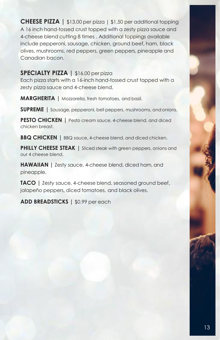**CHEESE PIZZA |** \$13.00 per pizza | \$1.50 per additional topping A 16 inch hand-tossed crust topped with a zesty pizza sauce and 4-cheese blend cutting 8 times . Additional toppings available include pepperoni, sausage, chicken, ground beef, ham, black olives, mushrooms, red peppers, green peppers, pineapple and Canadian bacon.

### **SPECIALTY PIZZA |** \$16.00 per pizza

Each pizza starts with a 16-inch hand-tossed crust topped with a zesty pizza sauce and 4-cheese blend.

**MARGHERITA |** Mozzarella, fresh tomatoes, and basil.

**SUPREME** | Sausage, pepperoni, bell peppers, mushrooms, and onions.

**PESTO CHICKEN** | Pesto cream sauce, 4-cheese blend, and diced chicken breast.

**BBQ CHICKEN** | BBQ sauce, 4-cheese blend, and diced chicken.

**PHILLY CHEESE STEAK | Sliced steak with green peppers, onions and** our 4 cheese blend.

**HAWAIIAN** | Zesty sauce, 4-cheese blend, diced ham, and pineapple.

**TACO |** Zesty sauce, 4-cheese blend, seasoned ground beef, jalapeño peppers, diced tomatoes, and black olives.

**ADD BREADSTICKS |** \$0.99 per each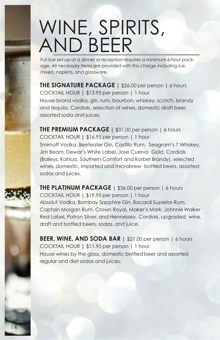## WINE, SPIRITS, AND BEER

Full bar set-up at a dinner or reception requires a minimum 6-hour package. All necessary items are provided with this charge including ice, mixers, napkins, and glassware.

**THE SIGNATURE PACKAGE |** \$26.00 per person | 6 hours COCKTAIL HOUR **|** \$13.95 per person | 1 hour House-brand vodka, gin, rum, bourbon, whiskey, scotch, brandy and tequila. Cordials, selection of wines, domestic draft beer, assorted soda and juices.

**THE PREMIUM PACKAGE |** \$31.00 per person | 6 hours COCKTAIL HOUR **|** \$16.95 per person | 1 hour Smirnoff Vodka, Beefeater Gin, Castillo Rum, Seagram's 7 Whiskey, Jim Beam, Dewar's White Label, Jose Cuervo Gold. Cordials (Baileys, Kahlua, Southern Comfort and Korbel Brandy), selected wines, domestic, imported and microbrew bottled beers, assorted sodas and juices.

**THE PLATINUM PACKAGE** | \$36.00 per person | 6 hours COCKTAIL HOUR | \$19.95 per person | 1 hour Absolut Vodka, Bombay Sapphire Gin, Bacardi Superior Rum, Captain Morgan Rum, Crown Royal, Maker's Mark, Johnnie Walker Red Label, Patron Silver, and Hennessey. Cordials, upgraded wine, draft and bottled beers, sodas, and juice.

**BEER, WINE, AND SODA BAR |** \$21.00 per person | 6 hours COCKTAIL HOUR **|** \$11.95 per person | 1 hour House wines by the glass, domestic bottled beer and assorted regular and diet sodas and juices.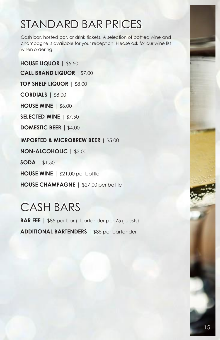## STANDARD BAR PRICES

Cash bar, hosted bar, or drink tickets. A selection of bottled wine and champagne is available for your reception. Please ask for our wine list when ordering.

**HOUSE LIQUOR |** \$5.50 **CALL BRAND LIQUOR** |\$7.00 **TOP SHELF LIQUOR |** \$8.00 **CORDIALS |** \$8.00 **HOUSE WINE |** \$6.00 **SELECTED WINE** | \$7.50 **DOMESTIC BEER |** \$4.00 **IMPORTED & MICROBREW BEER** | \$5.00 **NON-ALCOHOLIC |** \$3.00 **SODA |** \$1.50 **HOUSE WINE |** \$21.00 per bottle **HOUSE CHAMPAGNE |** \$27.00 per bottle

## CASH BARS

**BAR FEE |** \$85 per bar (1bartender per 75 guests) **ADDITIONAL BARTENDERS |** \$85 per bartender